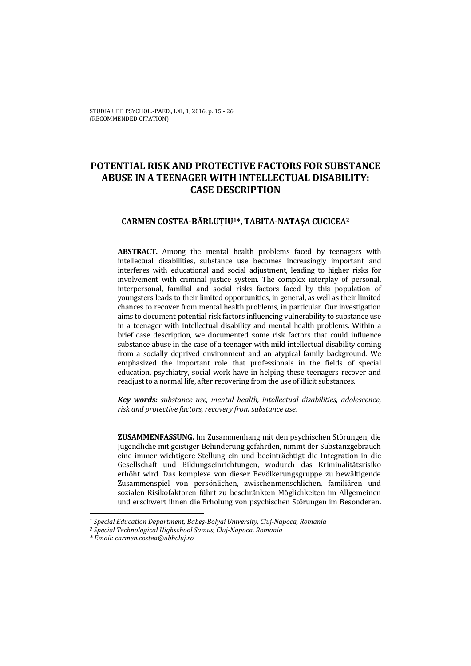STUDIA UBB PSYCHOL.-PAED., LXI, 1, 2016, p. 15 - 26 (RECOMMENDED CITATION)

# **POTENTIAL RISK AND PROTECTIVE FACTORS FOR SUBSTANCE ABUSE IN A TEENAGER WITH INTELLECTUAL DISABILITY: CASE DESCRIPTION**

## **CARMEN COSTEA-BĂRLUŢIU1\*, TABITA-NATAŞA CUCICEA2**

**ABSTRACT.** Among the mental health problems faced by teenagers with intellectual disabilities, substance use becomes increasingly important and interferes with educational and social adjustment, leading to higher risks for involvement with criminal justice system. The complex interplay of personal, interpersonal, familial and social risks factors faced by this population of youngsters leads to their limited opportunities, in general, as well as their limited chances to recover from mental health problems, in particular. Our investigation aims to document potential risk factors influencing vulnerability to substance use in a teenager with intellectual disability and mental health problems. Within a brief case description, we documented some risk factors that could influence substance abuse in the case of a teenager with mild intellectual disability coming from a socially deprived environment and an atypical family background. We emphasized the important role that professionals in the fields of special education, psychiatry, social work have in helping these teenagers recover and readjust to a normal life, after recovering from the use of illicit substances.

*Key words: substance use, mental health, intellectual disabilities, adolescence, risk and protective factors, recovery from substance use.* 

**ZUSAMMENFASSUNG.** Im Zusammenhang mit den psychischen Störungen, die Jugendliche mit geistiger Behinderung gefährden, nimmt der Substanzgebrauch eine immer wichtigere Stellung ein und beeinträchtigt die Integration in die Gesellschaft und Bildungseinrichtungen, wodurch das Kriminalitätsrisiko erhöht wird. Das komplexe von dieser Bevölkerungsgruppe zu bewältigende Zusammenspiel von persönlichen, zwischenmenschlichen, familiären und sozialen Risikofaktoren führt zu beschränkten Möglichkeiten im Allgemeinen und erschwert ihnen die Erholung von psychischen Störungen im Besonderen.

 $\overline{a}$ 

*<sup>1</sup> Special Education Department, Babeş-Bolyai University, Cluj-Napoca, Romania 2 Special Technological Highschool Samus, Cluj-Napoca, Romania* 

*<sup>\*</sup> Email: carmen.costea@ubbcluj.ro*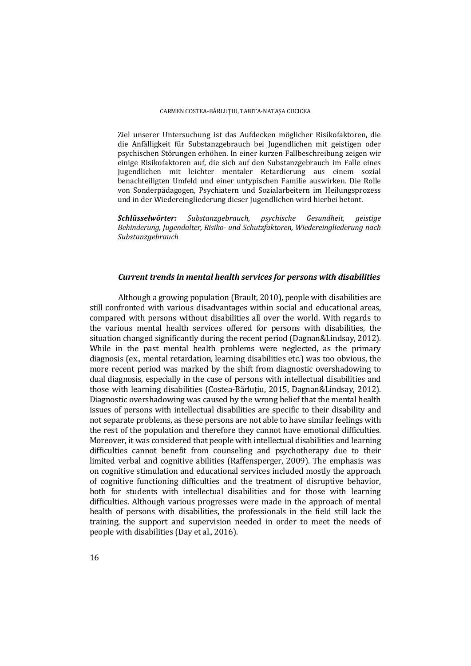Ziel unserer Untersuchung ist das Aufdecken möglicher Risikofaktoren, die die Anfälligkeit für Substanzgebrauch bei Jugendlichen mit geistigen oder psychischen Störungen erhöhen. In einer kurzen Fallbeschreibung zeigen wir einige Risikofaktoren auf, die sich auf den Substanzgebrauch im Falle eines Jugendlichen mit leichter mentaler Retardierung aus einem sozial benachteiligten Umfeld und einer untypischen Familie auswirken. Die Rolle von Sonderpädagogen, Psychiatern und Sozialarbeitern im Heilungsprozess und in der Wiedereingliederung dieser Jugendlichen wird hierbei betont.

*Schlüsselwörter: Substanzgebrauch, psychische Gesundheit, geistige Behinderung, Jugendalter, Risiko- und Schutzfaktoren, Wiedereingliederung nach Substanzgebrauch* 

## *Current trends in mental health services for persons with disabilities*

Although a growing population (Brault, 2010), people with disabilities are still confronted with various disadvantages within social and educational areas, compared with persons without disabilities all over the world. With regards to the various mental health services offered for persons with disabilities, the situation changed significantly during the recent period (Dagnan&Lindsay, 2012). While in the past mental health problems were neglected, as the primary diagnosis (ex., mental retardation, learning disabilities etc.) was too obvious, the more recent period was marked by the shift from diagnostic overshadowing to dual diagnosis, especially in the case of persons with intellectual disabilities and those with learning disabilities (Costea-Bărluțiu, 2015, Dagnan&Lindsay, 2012). Diagnostic overshadowing was caused by the wrong belief that the mental health issues of persons with intellectual disabilities are specific to their disability and not separate problems, as these persons are not able to have similar feelings with the rest of the population and therefore they cannot have emotional difficulties. Moreover, it was considered that people with intellectual disabilities and learning difficulties cannot benefit from counseling and psychotherapy due to their limited verbal and cognitive abilities (Raffensperger, 2009). The emphasis was on cognitive stimulation and educational services included mostly the approach of cognitive functioning difficulties and the treatment of disruptive behavior, both for students with intellectual disabilities and for those with learning difficulties. Although various progresses were made in the approach of mental health of persons with disabilities, the professionals in the field still lack the training, the support and supervision needed in order to meet the needs of people with disabilities (Day et al., 2016).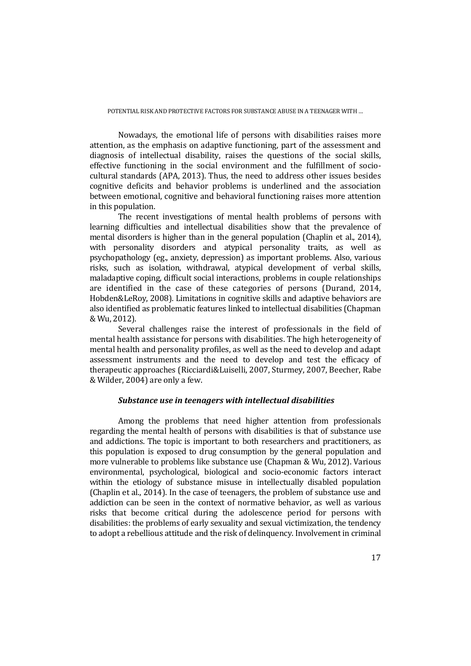Nowadays, the emotional life of persons with disabilities raises more attention, as the emphasis on adaptive functioning, part of the assessment and diagnosis of intellectual disability, raises the questions of the social skills, effective functioning in the social environment and the fulfillment of sociocultural standards (APA, 2013). Thus, the need to address other issues besides cognitive deficits and behavior problems is underlined and the association between emotional, cognitive and behavioral functioning raises more attention in this population.

The recent investigations of mental health problems of persons with learning difficulties and intellectual disabilities show that the prevalence of mental disorders is higher than in the general population (Chaplin et al., 2014), with personality disorders and atypical personality traits, as well as psychopathology (eg., anxiety, depression) as important problems. Also, various risks, such as isolation, withdrawal, atypical development of verbal skills, maladaptive coping, difficult social interactions, problems in couple relationships are identified in the case of these categories of persons (Durand, 2014, Hobden&LeRoy, 2008). Limitations in cognitive skills and adaptive behaviors are also identified as problematic features linked to intellectual disabilities (Chapman & Wu, 2012).

Several challenges raise the interest of professionals in the field of mental health assistance for persons with disabilities. The high heterogeneity of mental health and personality profiles, as well as the need to develop and adapt assessment instruments and the need to develop and test the efficacy of therapeutic approaches (Ricciardi&Luiselli, 2007, Sturmey, 2007, Beecher, Rabe & Wilder, 2004) are only a few.

## *Substance use in teenagers with intellectual disabilities*

Among the problems that need higher attention from professionals regarding the mental health of persons with disabilities is that of substance use and addictions. The topic is important to both researchers and practitioners, as this population is exposed to drug consumption by the general population and more vulnerable to problems like substance use (Chapman & Wu, 2012). Various environmental, psychological, biological and socio-economic factors interact within the etiology of substance misuse in intellectually disabled population (Chaplin et al., 2014). In the case of teenagers, the problem of substance use and addiction can be seen in the context of normative behavior, as well as various risks that become critical during the adolescence period for persons with disabilities: the problems of early sexuality and sexual victimization, the tendency to adopt a rebellious attitude and the risk of delinquency. Involvement in criminal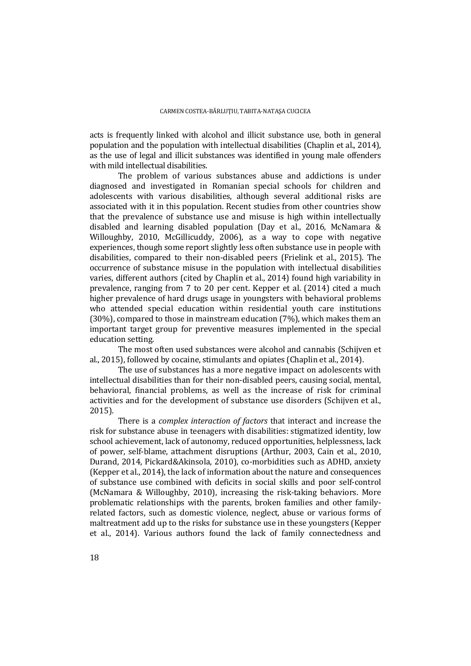acts is frequently linked with alcohol and illicit substance use, both in general population and the population with intellectual disabilities (Chaplin et al., 2014), as the use of legal and illicit substances was identified in young male offenders with mild intellectual disabilities.

The problem of various substances abuse and addictions is under diagnosed and investigated in Romanian special schools for children and adolescents with various disabilities, although several additional risks are associated with it in this population. Recent studies from other countries show that the prevalence of substance use and misuse is high within intellectually disabled and learning disabled population (Day et al., 2016, McNamara & Willoughby, 2010, McGillicuddy, 2006), as a way to cope with negative experiences, though some report slightly less often substance use in people with disabilities, compared to their non-disabled peers (Frielink et al., 2015). The occurrence of substance misuse in the population with intellectual disabilities varies, different authors (cited by Chaplin et al., 2014) found high variability in prevalence, ranging from 7 to 20 per cent. Kepper et al. (2014) cited a much higher prevalence of hard drugs usage in youngsters with behavioral problems who attended special education within residential youth care institutions (30%), compared to those in mainstream education (7%), which makes them an important target group for preventive measures implemented in the special education setting.

The most often used substances were alcohol and cannabis (Schijven et al., 2015), followed by cocaine, stimulants and opiates (Chaplin et al., 2014).

The use of substances has a more negative impact on adolescents with intellectual disabilities than for their non-disabled peers, causing social, mental, behavioral, financial problems, as well as the increase of risk for criminal activities and for the development of substance use disorders (Schijven et al., 2015).

There is a *complex interaction of factors* that interact and increase the risk for substance abuse in teenagers with disabilities: stigmatized identity, low school achievement, lack of autonomy, reduced opportunities, helplessness, lack of power, self-blame, attachment disruptions (Arthur, 2003, Cain et al., 2010, Durand, 2014, Pickard&Akinsola, 2010), co-morbidities such as ADHD, anxiety (Kepper et al., 2014), the lack of information about the nature and consequences of substance use combined with deficits in social skills and poor self-control (McNamara & Willoughby, 2010), increasing the risk-taking behaviors. More problematic relationships with the parents, broken families and other familyrelated factors, such as domestic violence, neglect, abuse or various forms of maltreatment add up to the risks for substance use in these youngsters (Kepper et al., 2014). Various authors found the lack of family connectedness and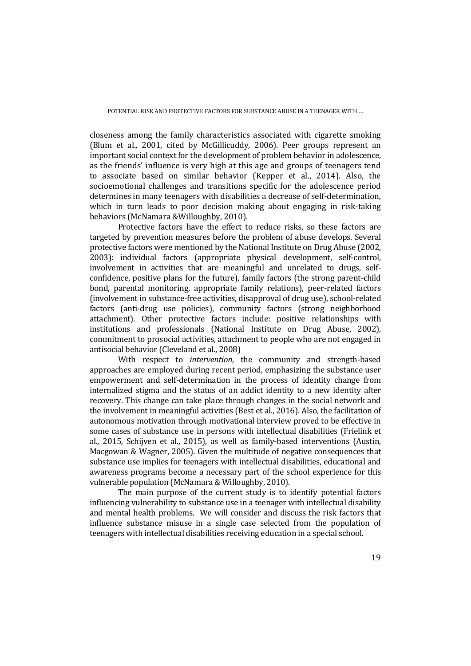closeness among the family characteristics associated with cigarette smoking (Blum et al., 2001, cited by McGillicuddy, 2006). Peer groups represent an important social context for the development of problem behavior in adolescence, as the friends' influence is very high at this age and groups of teenagers tend to associate based on similar behavior (Kepper et al., 2014). Also, the socioemotional challenges and transitions specific for the adolescence period determines in many teenagers with disabilities a decrease of self-determination, which in turn leads to poor decision making about engaging in risk-taking behaviors (McNamara &Willoughby, 2010).

Protective factors have the effect to reduce risks, so these factors are targeted by prevention measures before the problem of abuse develops. Several protective factors were mentioned by the National Institute on Drug Abuse (2002, 2003): individual factors (appropriate physical development, self-control, involvement in activities that are meaningful and unrelated to drugs, selfconfidence, positive plans for the future), family factors (the strong parent-child bond, parental monitoring, appropriate family relations), peer-related factors (involvement in substance-free activities, disapproval of drug use), school-related factors (anti-drug use policies), community factors (strong neighborhood attachment). Other protective factors include: positive relationships with institutions and professionals (National Institute on Drug Abuse, 2002), commitment to prosocial activities, attachment to people who are not engaged in antisocial behavior (Cleveland et al., 2008)

With respect to *intervention*, the community and strength-based approaches are employed during recent period, emphasizing the substance user empowerment and self-determination in the process of identity change from internalized stigma and the status of an addict identity to a new identity after recovery. This change can take place through changes in the social network and the involvement in meaningful activities (Best et al., 2016). Also, the facilitation of autonomous motivation through motivational interview proved to be effective in some cases of substance use in persons with intellectual disabilities (Frielink et al., 2015, Schijven et al., 2015), as well as family-based interventions (Austin, Macgowan & Wagner, 2005). Given the multitude of negative consequences that substance use implies for teenagers with intellectual disabilities, educational and awareness programs become a necessary part of the school experience for this vulnerable population (McNamara & Willoughby, 2010).

The main purpose of the current study is to identify potential factors influencing vulnerability to substance use in a teenager with intellectual disability and mental health problems. We will consider and discuss the risk factors that influence substance misuse in a single case selected from the population of teenagers with intellectual disabilities receiving education in a special school.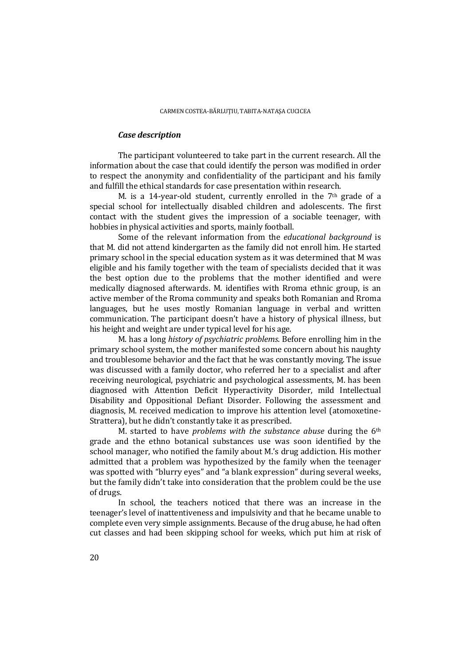## *Case description*

The participant volunteered to take part in the current research. All the information about the case that could identify the person was modified in order to respect the anonymity and confidentiality of the participant and his family and fulfill the ethical standards for case presentation within research.

M. is a 14-year-old student, currently enrolled in the 7th grade of a special school for intellectually disabled children and adolescents. The first contact with the student gives the impression of a sociable teenager, with hobbies in physical activities and sports, mainly football.

Some of the relevant information from the *educational background* is that M. did not attend kindergarten as the family did not enroll him. He started primary school in the special education system as it was determined that M was eligible and his family together with the team of specialists decided that it was the best option due to the problems that the mother identified and were medically diagnosed afterwards. M. identifies with Rroma ethnic group, is an active member of the Rroma community and speaks both Romanian and Rroma languages, but he uses mostly Romanian language in verbal and written communication. The participant doesn't have a history of physical illness, but his height and weight are under typical level for his age.

M. has a long *history of psychiatric problems*. Before enrolling him in the primary school system, the mother manifested some concern about his naughty and troublesome behavior and the fact that he was constantly moving. The issue was discussed with a family doctor, who referred her to a specialist and after receiving neurological, psychiatric and psychological assessments, M. has been diagnosed with Attention Deficit Hyperactivity Disorder, mild Intellectual Disability and Oppositional Defiant Disorder. Following the assessment and diagnosis, M. received medication to improve his attention level (atomoxetine-Strattera), but he didn't constantly take it as prescribed.

M. started to have *problems with the substance abuse* during the 6th grade and the ethno botanical substances use was soon identified by the school manager, who notified the family about M.'s drug addiction. His mother admitted that a problem was hypothesized by the family when the teenager was spotted with "blurry eyes" and "a blank expression" during several weeks, but the family didn't take into consideration that the problem could be the use of drugs.

In school, the teachers noticed that there was an increase in the teenager's level of inattentiveness and impulsivity and that he became unable to complete even very simple assignments. Because of the drug abuse, he had often cut classes and had been skipping school for weeks, which put him at risk of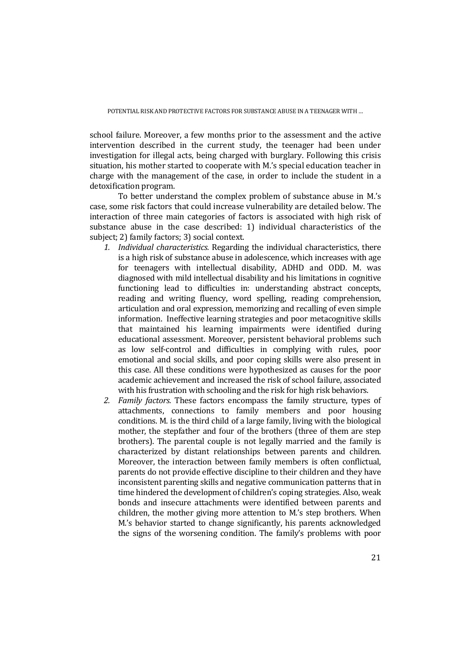school failure. Moreover, a few months prior to the assessment and the active intervention described in the current study, the teenager had been under investigation for illegal acts, being charged with burglary. Following this crisis situation, his mother started to cooperate with M.'s special education teacher in charge with the management of the case, in order to include the student in a detoxification program.

To better understand the complex problem of substance abuse in M.'s case, some risk factors that could increase vulnerability are detailed below. The interaction of three main categories of factors is associated with high risk of substance abuse in the case described: 1) individual characteristics of the subject; 2) family factors; 3) social context.

- *1. Individual characteristics.* Regarding the individual characteristics, there is a high risk of substance abuse in adolescence, which increases with age for teenagers with intellectual disability, ADHD and ODD. M. was diagnosed with mild intellectual disability and his limitations in cognitive functioning lead to difficulties in: understanding abstract concepts, reading and writing fluency, word spelling, reading comprehension, articulation and oral expression, memorizing and recalling of even simple information. Ineffective learning strategies and poor metacognitive skills that maintained his learning impairments were identified during educational assessment. Moreover, persistent behavioral problems such as low self-control and difficulties in complying with rules, poor emotional and social skills, and poor coping skills were also present in this case. All these conditions were hypothesized as causes for the poor academic achievement and increased the risk of school failure, associated with his frustration with schooling and the risk for high risk behaviors.
- *2. Family factors.* These factors encompass the family structure, types of attachments, connections to family members and poor housing conditions. M. is the third child of a large family, living with the biological mother, the stepfather and four of the brothers (three of them are step brothers). The parental couple is not legally married and the family is characterized by distant relationships between parents and children. Moreover, the interaction between family members is often conflictual, parents do not provide effective discipline to their children and they have inconsistent parenting skills and negative communication patterns that in time hindered the development of children's coping strategies. Also, weak bonds and insecure attachments were identified between parents and children, the mother giving more attention to M.'s step brothers. When M.'s behavior started to change significantly, his parents acknowledged the signs of the worsening condition. The family's problems with poor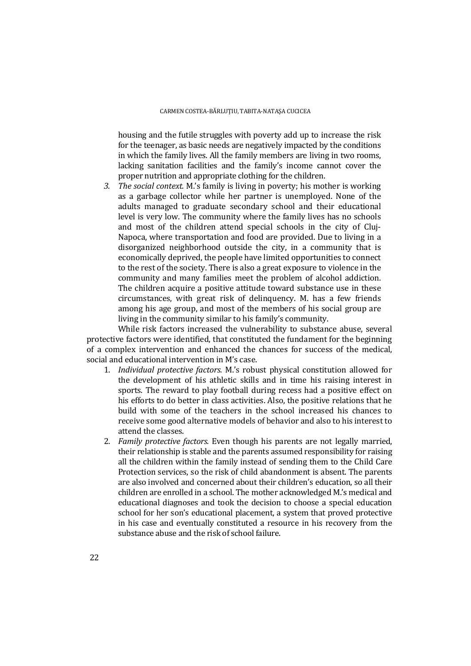housing and the futile struggles with poverty add up to increase the risk for the teenager, as basic needs are negatively impacted by the conditions in which the family lives. All the family members are living in two rooms, lacking sanitation facilities and the family's income cannot cover the proper nutrition and appropriate clothing for the children.

*3. The social context.* M.'s family is living in poverty; his mother is working as a garbage collector while her partner is unemployed. None of the adults managed to graduate secondary school and their educational level is very low. The community where the family lives has no schools and most of the children attend special schools in the city of Cluj-Napoca, where transportation and food are provided. Due to living in a disorganized neighborhood outside the city, in a community that is economically deprived, the people have limited opportunities to connect to the rest of the society. There is also a great exposure to violence in the community and many families meet the problem of alcohol addiction. The children acquire a positive attitude toward substance use in these circumstances, with great risk of delinquency. M. has a few friends among his age group, and most of the members of his social group are living in the community similar to his family's community.

While risk factors increased the vulnerability to substance abuse, several protective factors were identified, that constituted the fundament for the beginning of a complex intervention and enhanced the chances for success of the medical, social and educational intervention in M's case.

- 1. *Individual protective factors.* M.'s robust physical constitution allowed for the development of his athletic skills and in time his raising interest in sports. The reward to play football during recess had a positive effect on his efforts to do better in class activities. Also, the positive relations that he build with some of the teachers in the school increased his chances to receive some good alternative models of behavior and also to his interest to attend the classes.
- 2. *Family protective factors*. Even though his parents are not legally married, their relationship is stable and the parents assumed responsibility for raising all the children within the family instead of sending them to the Child Care Protection services, so the risk of child abandonment is absent. The parents are also involved and concerned about their children's education, so all their children are enrolled in a school. The mother acknowledged M.'s medical and educational diagnoses and took the decision to choose a special education school for her son's educational placement, a system that proved protective in his case and eventually constituted a resource in his recovery from the substance abuse and the risk of school failure.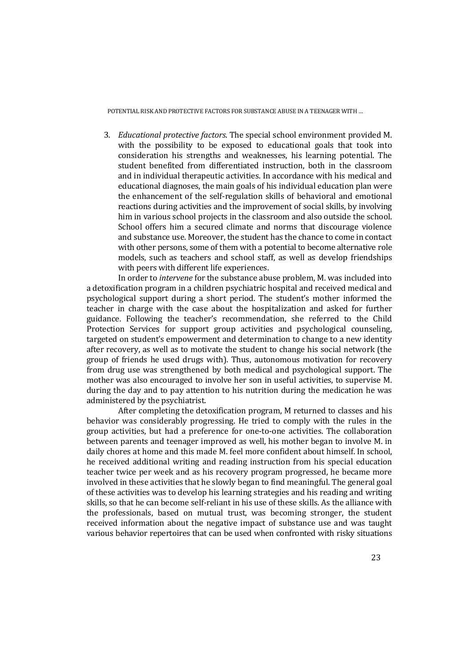3. *Educational protective factors*. The special school environment provided M. with the possibility to be exposed to educational goals that took into consideration his strengths and weaknesses, his learning potential. The student benefited from differentiated instruction, both in the classroom and in individual therapeutic activities. In accordance with his medical and educational diagnoses, the main goals of his individual education plan were the enhancement of the self-regulation skills of behavioral and emotional reactions during activities and the improvement of social skills, by involving him in various school projects in the classroom and also outside the school. School offers him a secured climate and norms that discourage violence and substance use. Moreover, the student has the chance to come in contact with other persons, some of them with a potential to become alternative role models, such as teachers and school staff, as well as develop friendships with peers with different life experiences.

In order to *intervene* for the substance abuse problem, M. was included into a detoxification program in a children psychiatric hospital and received medical and psychological support during a short period. The student's mother informed the teacher in charge with the case about the hospitalization and asked for further guidance. Following the teacher's recommendation, she referred to the Child Protection Services for support group activities and psychological counseling, targeted on student's empowerment and determination to change to a new identity after recovery, as well as to motivate the student to change his social network (the group of friends he used drugs with). Thus, autonomous motivation for recovery from drug use was strengthened by both medical and psychological support. The mother was also encouraged to involve her son in useful activities, to supervise M. during the day and to pay attention to his nutrition during the medication he was administered by the psychiatrist.

After completing the detoxification program, M returned to classes and his behavior was considerably progressing. He tried to comply with the rules in the group activities, but had a preference for one-to-one activities. The collaboration between parents and teenager improved as well, his mother began to involve M. in daily chores at home and this made M. feel more confident about himself. In school, he received additional writing and reading instruction from his special education teacher twice per week and as his recovery program progressed, he became more involved in these activities that he slowly began to find meaningful. The general goal of these activities was to develop his learning strategies and his reading and writing skills, so that he can become self-reliant in his use of these skills. As the alliance with the professionals, based on mutual trust, was becoming stronger, the student received information about the negative impact of substance use and was taught various behavior repertoires that can be used when confronted with risky situations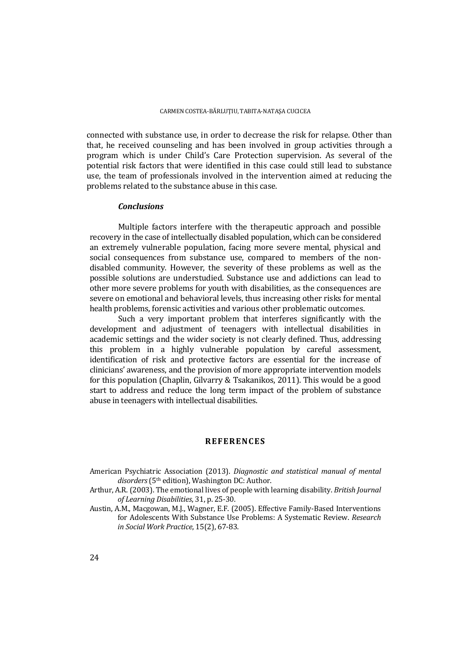connected with substance use, in order to decrease the risk for relapse. Other than that, he received counseling and has been involved in group activities through a program which is under Child's Care Protection supervision. As several of the potential risk factors that were identified in this case could still lead to substance use, the team of professionals involved in the intervention aimed at reducing the problems related to the substance abuse in this case.

## *Conclusions*

Multiple factors interfere with the therapeutic approach and possible recovery in the case of intellectually disabled population, which can be considered an extremely vulnerable population, facing more severe mental, physical and social consequences from substance use, compared to members of the nondisabled community. However, the severity of these problems as well as the possible solutions are understudied. Substance use and addictions can lead to other more severe problems for youth with disabilities, as the consequences are severe on emotional and behavioral levels, thus increasing other risks for mental health problems, forensic activities and various other problematic outcomes.

Such a very important problem that interferes significantly with the development and adjustment of teenagers with intellectual disabilities in academic settings and the wider society is not clearly defined. Thus, addressing this problem in a highly vulnerable population by careful assessment, identification of risk and protective factors are essential for the increase of clinicians' awareness, and the provision of more appropriate intervention models for this population (Chaplin, Gilvarry & Tsakanikos, 2011). This would be a good start to address and reduce the long term impact of the problem of substance abuse in teenagers with intellectual disabilities.

## **REFERENCES**

- American Psychiatric Association (2013). *Diagnostic and statistical manual of mental disorders* (5th edition), Washington DC: Author.
- Arthur, A.R. (2003). The emotional lives of people with learning disability. *British Journal of Learning Disabilities*, 31, p. 25-30.
- Austin, A.M., Macgowan, M.J., Wagner, E.F. (2005). Effective Family-Based Interventions for Adolescents With Substance Use Problems: A Systematic Review. *Research in Social Work Practice*, 15(2), 67-83.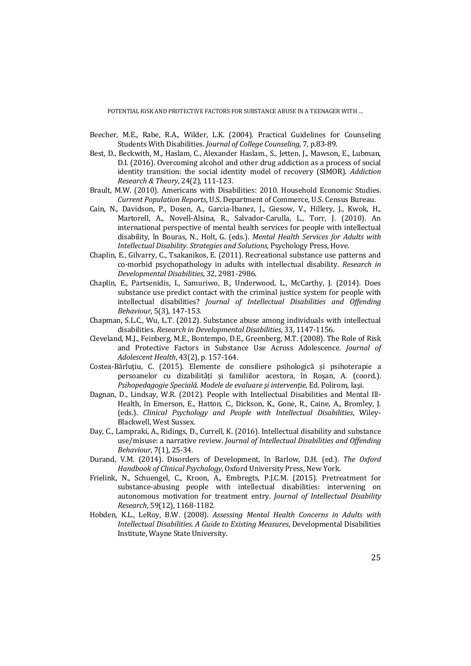- Beecher, M.E., Rabe, R.A., Wilder, L.K. (2004). Practical Guidelines for Counseling Students With Disabilities. *Journal of College Counseling*, 7, p.83-89.
- Best, D., Beckwith, M., Haslam, C., Alexander Haslam., S., Jetten, J., Mawson, E., Lubman, D.I. (2016). Overcoming alcohol and other drug addiction as a process of social identity transition: the social identity model of recovery (SIMOR). *Addiction Research & Theory*, 24(2), 111-123.
- Brault, M.W. (2010). Americans with Disabilities: 2010. Household Economic Studies. *Current Population Reports*, U.S. Department of Commerce, U.S. Census Bureau.
- Cain, N., Davidson, P., Dosen, A., Garcia-Ibanez, J., Giesow, V., Hillery, J., Kwok, H., Martorell, A., Novell-Alsina, R., Salvador-Carulla, L., Torr, J. (2010). An international perspective of mental health services for people with intellectual disability, în Bouras, N., Holt, G. (eds.). *Mental Health Services for Adults with Intellectual Disability. Strategies and Solutions,* Psychology Press, Hove.
- Chaplin, E., Gilvarry, C., Tsakanikos, E. (2011). Recreational substance use patterns and co-morbid psychopathology in adults with intellectual disability. *Research in Developmental Disabilities*, 32, 2981-2986.
- Chaplin, E., Partsenidis, I., Samuriwo, B., Underwood, L., McCarthy, J. (2014). Does substance use predict contact with the criminal justice system for people with intellectual disabilities? *Journal of Intellectual Disabilities and Offending Behaviour*, 5(3), 147-153.
- Chapman, S.L.C., Wu, L.T. (2012). Substance abuse among individuals with intellectual disabilities. *Research in Developmental Disabilities*, 33, 1147-1156.
- Cleveland, M.J., Feinberg, M.E., Bontempo, D.E., Greenberg, M.T. (2008). The Role of Risk and Protective Factors in Substance Use Across Adolescence. *Journal of Adolescent Health*, 43(2), p. 157-164.
- Costea-Bărluţiu, C. (2015). Elemente de consiliere psihologică și psihoterapie a persoanelor cu dizabilități și familiilor acestora, în Roşan, A. (coord.). *Psihopedagogie Specială. Modele de evaluare şi intervenţie*, Ed. Polirom, Iaşi.
- Dagnan, D., Lindsay, W.R. (2012). People with Intellectual Disabilities and Mental Ill-Health, în Emerson, E., Hatton, C., Dickson, K., Gone, R., Caine, A., Bromley, J. (eds.). *Clinical Psychology and People with Intellectual Disabilities*, Wiley-Blackwell, West Sussex.
- Day, C., Lampraki, A., Ridings, D., Currell, K. (2016). Intellectual disability and substance use/misuse: a narrative review. *Journal of Intellectual Disabilities and Offending Behaviour*, 7(1), 25-34.
- Durand, V.M. (2014). Disorders of Development, în Barlow, D.H. (ed.). *The Oxford Handbook of Clinical Psychology*, Oxford University Press, New York.
- Frielink, N., Schuengel, C., Kroon, A., Embregts, P.J.C.M. (2015). Pretreatment for substance-abusing people with intellectual disabilities: intervening on autonomous motivation for treatment entry. *Journal of Intellectual Disability Research*, 59(12), 1168-1182.
- Hobden, K.L., LeRoy, B.W. (2008). *Assessing Mental Health Concerns in Adults with Intellectual Disabilities. A Guide to Existing Measures*, Developmental Disabilities Institute, Wayne State University.